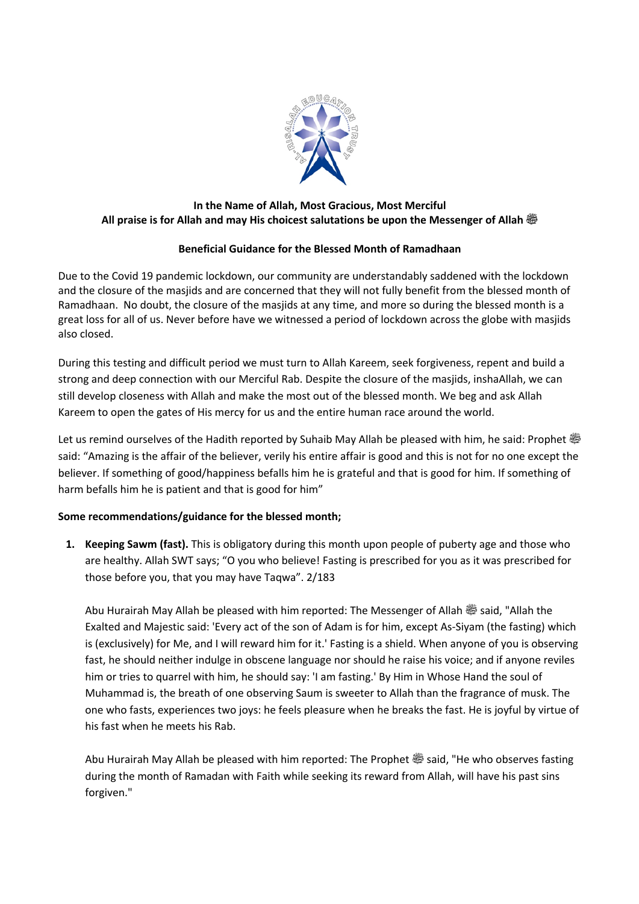

## **In the Name of Allah, Most Gracious, Most Merciful All praise is for Allah and may His choicest salutations be upon the Messenger of Allah صلى الله عليه وسلم**

## **Beneficial Guidance for the Blessed Month of Ramadhaan**

Due to the Covid 19 pandemic lockdown, our community are understandably saddened with the lockdown and the closure of the masjids and are concerned that they will not fully benefit from the blessed month of Ramadhaan. No doubt, the closure of the masjids at any time, and more so during the blessed month is a great loss for all of us. Never before have we witnessed a period of lockdown across the globe with masjids also closed.

During this testing and difficult period we must turn to Allah Kareem, seek forgiveness, repent and build a strong and deep connection with our Merciful Rab. Despite the closure of the masjids, inshaAllah, we can still develop closeness with Allah and make the most out of the blessed month. We beg and ask Allah Kareem to open the gates of His mercy for us and the entire human race around the world.

Let us remind ourselves of the Hadith reported by Suhaib May Allah be pleased with him, he said: Prophet  $\ddot{\ddot{\Phi}}$ said: "Amazing is the affair of the believer, verily his entire affair is good and this is not for no one except the believer. If something of good/happiness befalls him he is grateful and that is good for him. If something of harm befalls him he is patient and that is good for him"

## **Some recommendations/guidance for the blessed month;**

**1. Keeping Sawm (fast).** This is obligatory during this month upon people of puberty age and those who are healthy. Allah SWT says; "O you who believe! Fasting is prescribed for you as it was prescribed for those before you, that you may have Taqwa". 2/183

Abu Hurairah May Allah be pleased with him reported: The Messenger of Allah صلى الله عليه وسلم said, "Allah the Exalted and Majestic said: 'Every act of the son of Adam is for him, except As-Siyam (the fasting) which is (exclusively) for Me, and I will reward him for it.' Fasting is a shield. When anyone of you is observing fast, he should neither indulge in obscene language nor should he raise his voice; and if anyone reviles him or tries to quarrel with him, he should say: 'I am fasting.' By Him in Whose Hand the soul of Muhammad is, the breath of one observing Saum is sweeter to Allah than the fragrance of musk. The one who fasts, experiences two joys: he feels pleasure when he breaks the fast. He is joyful by virtue of his fast when he meets his Rab.

Abu Hurairah May Allah be pleased with him reported: The Prophet  $\ddot{\textbf{\textit{w}}}$  said, "He who observes fasting during the month of Ramadan with Faith while seeking its reward from Allah, will have his past sins forgiven."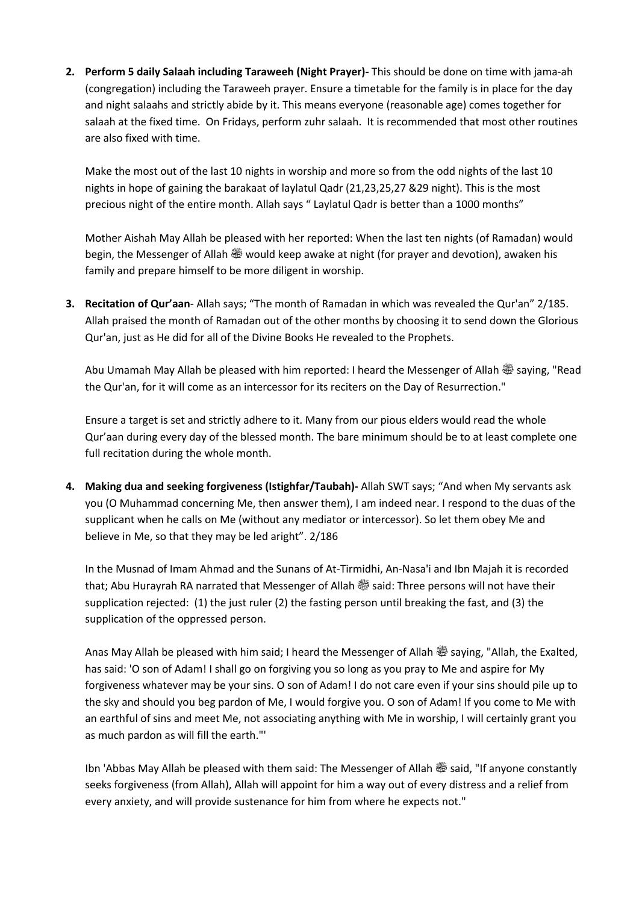**2. Perform 5 daily Salaah including Taraweeh (Night Prayer)-** This should be done on time with jama-ah (congregation) including the Taraweeh prayer. Ensure a timetable for the family is in place for the day and night salaahs and strictly abide by it. This means everyone (reasonable age) comes together for salaah at the fixed time. On Fridays, perform zuhr salaah. It is recommended that most other routines are also fixed with time.

Make the most out of the last 10 nights in worship and more so from the odd nights of the last 10 nights in hope of gaining the barakaat of laylatul Qadr (21,23,25,27 &29 night). This is the most precious night of the entire month. Allah says " Laylatul Qadr is better than a 1000 months"

Mother Aishah May Allah be pleased with her reported: When the last ten nights (of Ramadan) would begin, the Messenger of Allah  $\ddot{\otimes}$  would keep awake at night (for prayer and devotion), awaken his family and prepare himself to be more diligent in worship.

**3. Recitation of Qur'aan**- Allah says; "The month of Ramadan in which was revealed the Qur'an" 2/185. Allah praised the month of Ramadan out of the other months by choosing it to send down the Glorious Qur'an, just as He did for all of the Divine Books He revealed to the Prophets.

Abu Umamah May Allah be pleased with him reported: I heard the Messenger of Allah  $\frac{360}{20}$  saying, "Read the Qur'an, for it will come as an intercessor for its reciters on the Day of Resurrection."

Ensure a target is set and strictly adhere to it. Many from our pious elders would read the whole Qur'aan during every day of the blessed month. The bare minimum should be to at least complete one full recitation during the whole month.

**4. Making dua and seeking forgiveness (Istighfar/Taubah)-** Allah SWT says; "And when My servants ask you (O Muhammad concerning Me, then answer them), I am indeed near. I respond to the duas of the supplicant when he calls on Me (without any mediator or intercessor). So let them obey Me and believe in Me, so that they may be led aright". 2/186

In the Musnad of Imam Ahmad and the Sunans of At-Tirmidhi, An-Nasa'i and Ibn Majah it is recorded that; Abu Hurayrah RA narrated that Messenger of Allah  $\ddot{\ddot{\phi}}$  said: Three persons will not have their supplication rejected: (1) the just ruler (2) the fasting person until breaking the fast, and (3) the supplication of the oppressed person.

Anas May Allah be pleased with him said; I heard the Messenger of Allah صلى الله عليه وسلم saying, "Allah, the Exalted, has said: 'O son of Adam! I shall go on forgiving you so long as you pray to Me and aspire for My forgiveness whatever may be your sins. O son of Adam! I do not care even if your sins should pile up to the sky and should you beg pardon of Me, I would forgive you. O son of Adam! If you come to Me with an earthful of sins and meet Me, not associating anything with Me in worship, I will certainly grant you as much pardon as will fill the earth."'

Ibn 'Abbas May Allah be pleased with them said: The Messenger of Allah صلى الله عليه وسلم said, "If anyone constantly seeks forgiveness (from Allah), Allah will appoint for him a way out of every distress and a relief from every anxiety, and will provide sustenance for him from where he expects not."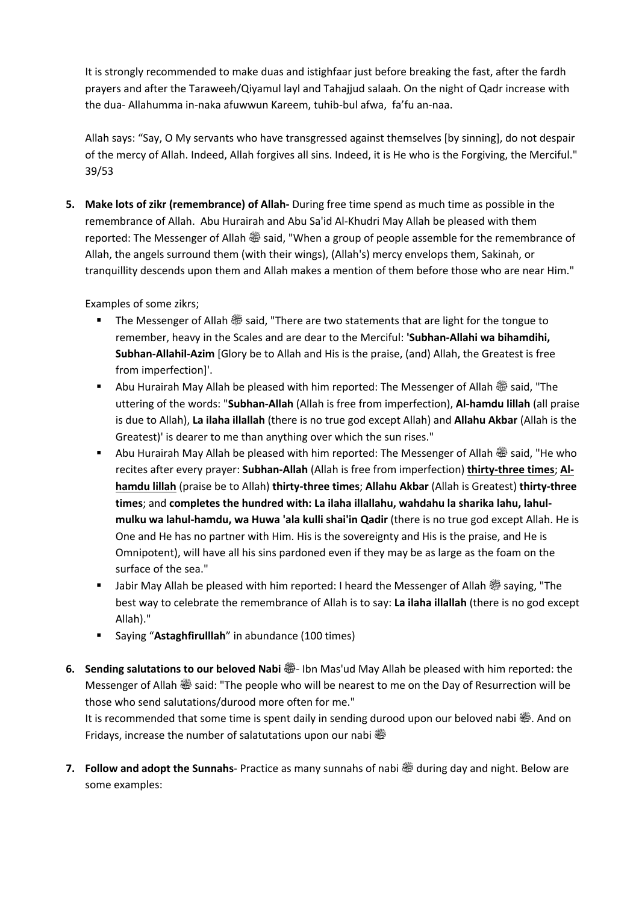It is strongly recommended to make duas and istighfaar just before breaking the fast, after the fardh prayers and after the Taraweeh/Qiyamul layl and Tahajjud salaah. On the night of Qadr increase with the dua- Allahumma in-naka afuwwun Kareem, tuhib-bul afwa, fa'fu an-naa.

Allah says: "Say, O My servants who have transgressed against themselves [by sinning], do not despair of the mercy of Allah. Indeed, Allah forgives all sins. Indeed, it is He who is the Forgiving, the Merciful." 39/53

**5. Make lots of zikr (remembrance) of Allah-** During free time spend as much time as possible in the remembrance of Allah. Abu Hurairah and Abu Sa'id Al-Khudri May Allah be pleased with them reported: The Messenger of Allah  $\frac{356}{20}$  said, "When a group of people assemble for the remembrance of Allah, the angels surround them (with their wings), (Allah's) mercy envelops them, Sakinah, or tranquillity descends upon them and Allah makes a mention of them before those who are near Him."

Examples of some zikrs;

- The Messenger of Allah  $\ddot{\ddot{\varphi}}$  said, "There are two statements that are light for the tongue to remember, heavy in the Scales and are dear to the Merciful: **'Subhan-Allahi wa bihamdihi, Subhan-Allahil-Azim** [Glory be to Allah and His is the praise, (and) Allah, the Greatest is free from imperfection]'.
- Abu Hurairah May Allah be pleased with him reported: The Messenger of Allah <a>
id, "The  $\blacksquare$ uttering of the words: "**Subhan-Allah** (Allah is free from imperfection), **Al-hamdu lillah** (all praise is due to Allah), **La ilaha illallah** (there is no true god except Allah) and **Allahu Akbar** (Allah is the Greatest)' is dearer to me than anything over which the sun rises."
- Abu Hurairah May Allah be pleased with him reported: The Messenger of Allah & said, "He who recites after every prayer: **Subhan-Allah** (Allah is free from imperfection) **thirty-three times**; **Alhamdu lillah** (praise be to Allah) **thirty-three times**; **Allahu Akbar** (Allah is Greatest) **thirty-three times**; and **completes the hundred with: La ilaha illallahu, wahdahu la sharika lahu, lahulmulku wa lahul-hamdu, wa Huwa 'ala kulli shai'in Qadir** (there is no true god except Allah. He is One and He has no partner with Him. His is the sovereignty and His is the praise, and He is Omnipotent), will have all his sins pardoned even if they may be as large as the foam on the surface of the sea."
- **•** Jabir May Allah be pleased with him reported: I heard the Messenger of Allah  $\frac{1}{200}$  saying, "The best way to celebrate the remembrance of Allah is to say: **La ilaha illallah** (there is no god except Allah)."
- § Saying "**Astaghfirulllah**" in abundance (100 times)
- **6.** Sending salutations to our beloved Nabi  $\frac{360}{100}$  Ibn Mas'ud May Allah be pleased with him reported: the Messenger of Allah <a>
aid: "The people who will be nearest to me on the Day of Resurrection will be those who send salutations/durood more often for me."

It is recommended that some time is spent daily in sending durood upon our beloved nabi @. And on Fridays, increase the number of salatutations upon our nabi  $\ddot{\ddot{\Xi\!^*}$ 

**7. Follow and adopt the Sunnahs**- Practice as many sunnahs of nabi s during day and night. Below are some examples: